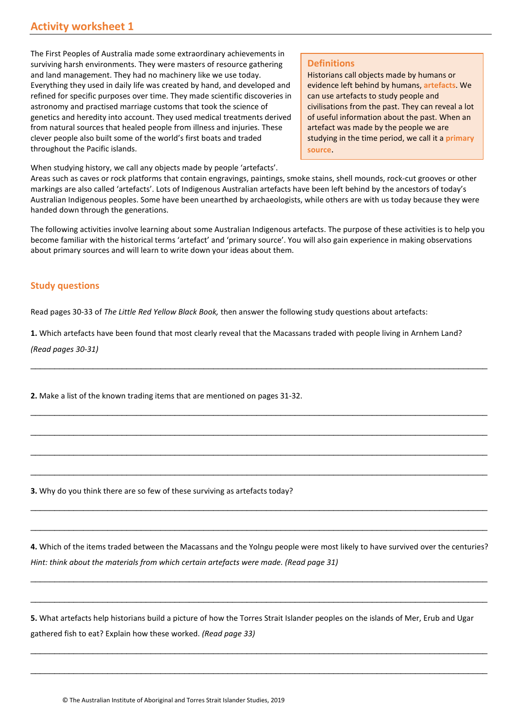The First Peoples of Australia made some extraordinary achievements in surviving harsh environments. They were masters of resource gathering and land management. They had no machinery like we use today. Everything they used in daily life was created by hand, and developed and refined for specific purposes over time. They made scientific discoveries in astronomy and practised marriage customs that took the science of genetics and heredity into account. They used medical treatments derived from natural sources that healed people from illness and injuries. These clever people also built some of the world's first boats and traded throughout the Pacific islands.

**Definitions**

Historians call objects made by humans or evidence left behind by humans, **artefacts**. We can use artefacts to study people and civilisations from the past. They can reveal a lot of useful information about the past. When an artefact was made by the people we are studying in the time period, we call it a **primary source**.

When studying history, we call any objects made by people 'artefacts'.

Areas such as caves or rock platforms that contain engravings, paintings, smoke stains, shell mounds, rock-cut grooves or other markings are also called 'artefacts'. Lots of Indigenous Australian artefacts have been left behind by the ancestors of today's Australian Indigenous peoples. Some have been unearthed by archaeologists, while others are with us today because they were handed down through the generations.

The following activities involve learning about some Australian Indigenous artefacts. The purpose of these activities is to help you become familiar with the historical terms 'artefact' and 'primary source'. You will also gain experience in making observations about primary sources and will learn to write down your ideas about them.

## **Study questions**

Read pages 30-33 of *The Little Red Yellow Black Book,* then answer the following study questions about artefacts:

**1.** Which artefacts have been found that most clearly reveal that the Macassans traded with people living in Arnhem Land?

\_\_\_\_\_\_\_\_\_\_\_\_\_\_\_\_\_\_\_\_\_\_\_\_\_\_\_\_\_\_\_\_\_\_\_\_\_\_\_\_\_\_\_\_\_\_\_\_\_\_\_\_\_\_\_\_\_\_\_\_\_\_\_\_\_\_\_\_\_\_\_\_\_\_\_\_\_\_\_\_\_\_\_\_\_\_\_\_\_\_\_\_\_\_\_

\_\_\_\_\_\_\_\_\_\_\_\_\_\_\_\_\_\_\_\_\_\_\_\_\_\_\_\_\_\_\_\_\_\_\_\_\_\_\_\_\_\_\_\_\_\_\_\_\_\_\_\_\_\_\_\_\_\_\_\_\_\_\_\_\_\_\_\_\_\_\_\_\_\_\_\_\_\_\_\_\_\_\_\_\_\_\_\_\_\_\_\_\_\_\_

\_\_\_\_\_\_\_\_\_\_\_\_\_\_\_\_\_\_\_\_\_\_\_\_\_\_\_\_\_\_\_\_\_\_\_\_\_\_\_\_\_\_\_\_\_\_\_\_\_\_\_\_\_\_\_\_\_\_\_\_\_\_\_\_\_\_\_\_\_\_\_\_\_\_\_\_\_\_\_\_\_\_\_\_\_\_\_\_\_\_\_\_\_\_\_

\_\_\_\_\_\_\_\_\_\_\_\_\_\_\_\_\_\_\_\_\_\_\_\_\_\_\_\_\_\_\_\_\_\_\_\_\_\_\_\_\_\_\_\_\_\_\_\_\_\_\_\_\_\_\_\_\_\_\_\_\_\_\_\_\_\_\_\_\_\_\_\_\_\_\_\_\_\_\_\_\_\_\_\_\_\_\_\_\_\_\_\_\_\_\_

\_\_\_\_\_\_\_\_\_\_\_\_\_\_\_\_\_\_\_\_\_\_\_\_\_\_\_\_\_\_\_\_\_\_\_\_\_\_\_\_\_\_\_\_\_\_\_\_\_\_\_\_\_\_\_\_\_\_\_\_\_\_\_\_\_\_\_\_\_\_\_\_\_\_\_\_\_\_\_\_\_\_\_\_\_\_\_\_\_\_\_\_\_\_\_

\_\_\_\_\_\_\_\_\_\_\_\_\_\_\_\_\_\_\_\_\_\_\_\_\_\_\_\_\_\_\_\_\_\_\_\_\_\_\_\_\_\_\_\_\_\_\_\_\_\_\_\_\_\_\_\_\_\_\_\_\_\_\_\_\_\_\_\_\_\_\_\_\_\_\_\_\_\_\_\_\_\_\_\_\_\_\_\_\_\_\_\_\_\_\_

\_\_\_\_\_\_\_\_\_\_\_\_\_\_\_\_\_\_\_\_\_\_\_\_\_\_\_\_\_\_\_\_\_\_\_\_\_\_\_\_\_\_\_\_\_\_\_\_\_\_\_\_\_\_\_\_\_\_\_\_\_\_\_\_\_\_\_\_\_\_\_\_\_\_\_\_\_\_\_\_\_\_\_\_\_\_\_\_\_\_\_\_\_\_\_

*(Read pages 30-31)*

**2.** Make a list of the known trading items that are mentioned on pages 31-32.

**3.** Why do you think there are so few of these surviving as artefacts today?

**4.** Which of the items traded between the Macassans and the Yolngu people were most likely to have survived over the centuries? *Hint: think about the materials from which certain artefacts were made. (Read page 31)*

\_\_\_\_\_\_\_\_\_\_\_\_\_\_\_\_\_\_\_\_\_\_\_\_\_\_\_\_\_\_\_\_\_\_\_\_\_\_\_\_\_\_\_\_\_\_\_\_\_\_\_\_\_\_\_\_\_\_\_\_\_\_\_\_\_\_\_\_\_\_\_\_\_\_\_\_\_\_\_\_\_\_\_\_\_\_\_\_\_\_\_\_\_\_\_

\_\_\_\_\_\_\_\_\_\_\_\_\_\_\_\_\_\_\_\_\_\_\_\_\_\_\_\_\_\_\_\_\_\_\_\_\_\_\_\_\_\_\_\_\_\_\_\_\_\_\_\_\_\_\_\_\_\_\_\_\_\_\_\_\_\_\_\_\_\_\_\_\_\_\_\_\_\_\_\_\_\_\_\_\_\_\_\_\_\_\_\_\_\_\_

\_\_\_\_\_\_\_\_\_\_\_\_\_\_\_\_\_\_\_\_\_\_\_\_\_\_\_\_\_\_\_\_\_\_\_\_\_\_\_\_\_\_\_\_\_\_\_\_\_\_\_\_\_\_\_\_\_\_\_\_\_\_\_\_\_\_\_\_\_\_\_\_\_\_\_\_\_\_\_\_\_\_\_\_\_\_\_\_\_\_\_\_\_\_\_

\_\_\_\_\_\_\_\_\_\_\_\_\_\_\_\_\_\_\_\_\_\_\_\_\_\_\_\_\_\_\_\_\_\_\_\_\_\_\_\_\_\_\_\_\_\_\_\_\_\_\_\_\_\_\_\_\_\_\_\_\_\_\_\_\_\_\_\_\_\_\_\_\_\_\_\_\_\_\_\_\_\_\_\_\_\_\_\_\_\_\_\_\_\_\_

**5.** What artefacts help historians build a picture of how the Torres Strait Islander peoples on the islands of Mer, Erub and Ugar gathered fish to eat? Explain how these worked. *(Read page 33)*